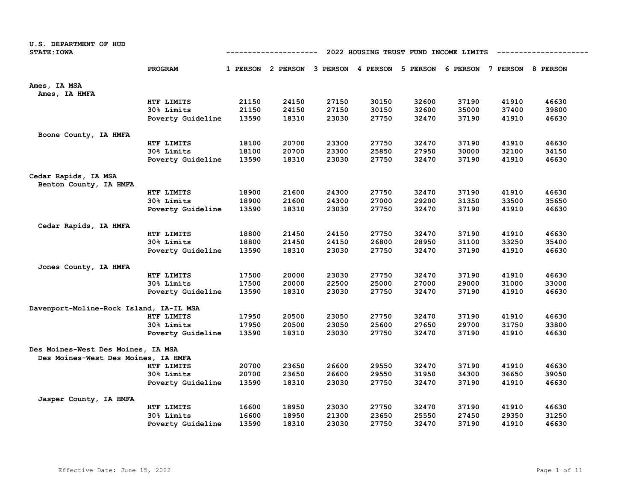| U.S. DEPARTMENT OF HUD<br><b>STATE: IOWA</b>                              |                   | 2022 HOUSING TRUST FUND INCOME LIMITS<br>---------- |                                                                         |       |       |       |       |       |       |  |
|---------------------------------------------------------------------------|-------------------|-----------------------------------------------------|-------------------------------------------------------------------------|-------|-------|-------|-------|-------|-------|--|
|                                                                           | PROGRAM           |                                                     | 1 PERSON 2 PERSON 3 PERSON 4 PERSON 5 PERSON 6 PERSON 7 PERSON 8 PERSON |       |       |       |       |       |       |  |
| Ames, IA MSA<br>Ames, IA HMFA                                             |                   |                                                     |                                                                         |       |       |       |       |       |       |  |
|                                                                           | HTF LIMITS        | 21150                                               | 24150                                                                   | 27150 | 30150 | 32600 | 37190 | 41910 | 46630 |  |
|                                                                           | 30% Limits        | 21150                                               | 24150                                                                   | 27150 | 30150 | 32600 | 35000 | 37400 | 39800 |  |
|                                                                           | Poverty Guideline | 13590                                               | 18310                                                                   | 23030 | 27750 | 32470 | 37190 | 41910 | 46630 |  |
| Boone County, IA HMFA                                                     |                   |                                                     |                                                                         |       |       |       |       |       |       |  |
|                                                                           | HTF LIMITS        | 18100                                               | 20700                                                                   | 23300 | 27750 | 32470 | 37190 | 41910 | 46630 |  |
|                                                                           | 30% Limits        | 18100                                               | 20700                                                                   | 23300 | 25850 | 27950 | 30000 | 32100 | 34150 |  |
|                                                                           | Poverty Guideline | 13590                                               | 18310                                                                   | 23030 | 27750 | 32470 | 37190 | 41910 | 46630 |  |
| Cedar Rapids, IA MSA                                                      |                   |                                                     |                                                                         |       |       |       |       |       |       |  |
| Benton County, IA HMFA                                                    |                   |                                                     |                                                                         |       |       |       |       |       |       |  |
|                                                                           | HTF LIMITS        | 18900                                               | 21600                                                                   | 24300 | 27750 | 32470 | 37190 | 41910 | 46630 |  |
|                                                                           | 30% Limits        | 18900                                               | 21600                                                                   | 24300 | 27000 | 29200 | 31350 | 33500 | 35650 |  |
|                                                                           | Poverty Guideline | 13590                                               | 18310                                                                   | 23030 | 27750 | 32470 | 37190 | 41910 | 46630 |  |
| Cedar Rapids, IA HMFA                                                     |                   |                                                     |                                                                         |       |       |       |       |       |       |  |
|                                                                           | HTF LIMITS        | 18800                                               | 21450                                                                   | 24150 | 27750 | 32470 | 37190 | 41910 | 46630 |  |
|                                                                           | 30% Limits        | 18800                                               | 21450                                                                   | 24150 | 26800 | 28950 | 31100 | 33250 | 35400 |  |
|                                                                           | Poverty Guideline | 13590                                               | 18310                                                                   | 23030 | 27750 | 32470 | 37190 | 41910 | 46630 |  |
| Jones County, IA HMFA                                                     |                   |                                                     |                                                                         |       |       |       |       |       |       |  |
|                                                                           | HTF LIMITS        | 17500                                               | 20000                                                                   | 23030 | 27750 | 32470 | 37190 | 41910 | 46630 |  |
|                                                                           | 30% Limits        | 17500                                               | 20000                                                                   | 22500 | 25000 | 27000 | 29000 | 31000 | 33000 |  |
|                                                                           | Poverty Guideline | 13590                                               | 18310                                                                   | 23030 | 27750 | 32470 | 37190 | 41910 | 46630 |  |
| Davenport-Moline-Rock Island, IA-IL MSA                                   |                   |                                                     |                                                                         |       |       |       |       |       |       |  |
|                                                                           | HTF LIMITS        | 17950                                               | 20500                                                                   | 23050 | 27750 | 32470 | 37190 | 41910 | 46630 |  |
|                                                                           | 30% Limits        | 17950                                               | 20500                                                                   | 23050 | 25600 | 27650 | 29700 | 31750 | 33800 |  |
|                                                                           | Poverty Guideline | 13590                                               | 18310                                                                   | 23030 | 27750 | 32470 | 37190 | 41910 | 46630 |  |
| Des Moines-West Des Moines, IA MSA<br>Des Moines-West Des Moines, IA HMFA |                   |                                                     |                                                                         |       |       |       |       |       |       |  |
|                                                                           | HTF LIMITS        | 20700                                               | 23650                                                                   | 26600 | 29550 | 32470 | 37190 | 41910 | 46630 |  |
|                                                                           | 30% Limits        | 20700                                               | 23650                                                                   | 26600 | 29550 | 31950 | 34300 | 36650 | 39050 |  |
|                                                                           | Poverty Guideline | 13590                                               | 18310                                                                   | 23030 | 27750 | 32470 | 37190 | 41910 | 46630 |  |
| Jasper County, IA HMFA                                                    |                   |                                                     |                                                                         |       |       |       |       |       |       |  |
|                                                                           | HTF LIMITS        | 16600                                               | 18950                                                                   | 23030 | 27750 | 32470 | 37190 | 41910 | 46630 |  |
|                                                                           | 30% Limits        | 16600                                               | 18950                                                                   | 21300 | 23650 | 25550 | 27450 | 29350 | 31250 |  |
|                                                                           | Poverty Guideline | 13590                                               | 18310                                                                   | 23030 | 27750 | 32470 | 37190 | 41910 | 46630 |  |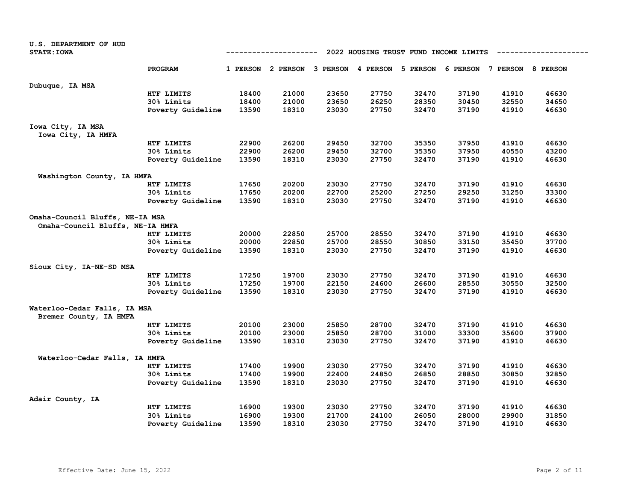| U.S. DEPARTMENT OF HUD                                 |                   |                                                    |                                     |       |       |                                     |       |       |       |  |  |
|--------------------------------------------------------|-------------------|----------------------------------------------------|-------------------------------------|-------|-------|-------------------------------------|-------|-------|-------|--|--|
| <b>STATE: IOWA</b>                                     |                   | 2022 HOUSING TRUST FUND INCOME LIMITS<br>--------- |                                     |       |       |                                     |       |       |       |  |  |
|                                                        | <b>PROGRAM</b>    |                                                    | 1 PERSON 2 PERSON 3 PERSON 4 PERSON |       |       | 5 PERSON 6 PERSON 7 PERSON 8 PERSON |       |       |       |  |  |
| Dubuque, IA MSA                                        |                   |                                                    |                                     |       |       |                                     |       |       |       |  |  |
|                                                        | HTF LIMITS        | 18400                                              | 21000                               | 23650 | 27750 | 32470                               | 37190 | 41910 | 46630 |  |  |
|                                                        | 30% Limits        | 18400                                              | 21000                               | 23650 | 26250 | 28350                               | 30450 | 32550 | 34650 |  |  |
|                                                        | Poverty Guideline | 13590                                              | 18310                               | 23030 | 27750 | 32470                               | 37190 | 41910 | 46630 |  |  |
| Iowa City, IA MSA                                      |                   |                                                    |                                     |       |       |                                     |       |       |       |  |  |
| Iowa City, IA HMFA                                     |                   |                                                    |                                     |       |       |                                     |       |       |       |  |  |
|                                                        | HTF LIMITS        | 22900                                              | 26200                               | 29450 | 32700 | 35350                               | 37950 | 41910 | 46630 |  |  |
|                                                        | 30% Limits        | 22900                                              | 26200                               | 29450 | 32700 | 35350                               | 37950 | 40550 | 43200 |  |  |
|                                                        | Poverty Guideline | 13590                                              | 18310                               | 23030 | 27750 | 32470                               | 37190 | 41910 | 46630 |  |  |
| Washington County, IA HMFA                             |                   |                                                    |                                     |       |       |                                     |       |       |       |  |  |
|                                                        | HTF LIMITS        | 17650                                              | 20200                               | 23030 | 27750 | 32470                               | 37190 | 41910 | 46630 |  |  |
|                                                        | 30% Limits        | 17650                                              | 20200                               | 22700 | 25200 | 27250                               | 29250 | 31250 | 33300 |  |  |
|                                                        | Poverty Guideline | 13590                                              | 18310                               | 23030 | 27750 | 32470                               | 37190 | 41910 | 46630 |  |  |
| Omaha-Council Bluffs, NE-IA MSA                        |                   |                                                    |                                     |       |       |                                     |       |       |       |  |  |
| Omaha-Council Bluffs, NE-IA HMFA                       |                   |                                                    |                                     |       |       |                                     |       |       |       |  |  |
|                                                        | HTF LIMITS        | 20000                                              | 22850                               | 25700 | 28550 | 32470                               | 37190 | 41910 | 46630 |  |  |
|                                                        | 30% Limits        | 20000                                              | 22850                               | 25700 | 28550 | 30850                               | 33150 | 35450 | 37700 |  |  |
|                                                        | Poverty Guideline | 13590                                              | 18310                               | 23030 | 27750 | 32470                               | 37190 | 41910 | 46630 |  |  |
| Sioux City, IA-NE-SD MSA                               |                   |                                                    |                                     |       |       |                                     |       |       |       |  |  |
|                                                        | HTF LIMITS        | 17250                                              | 19700                               | 23030 | 27750 | 32470                               | 37190 | 41910 | 46630 |  |  |
|                                                        | 30% Limits        | 17250                                              | 19700                               | 22150 | 24600 | 26600                               | 28550 | 30550 | 32500 |  |  |
|                                                        | Poverty Guideline | 13590                                              | 18310                               | 23030 | 27750 | 32470                               | 37190 | 41910 | 46630 |  |  |
| Waterloo-Cedar Falls, IA MSA<br>Bremer County, IA HMFA |                   |                                                    |                                     |       |       |                                     |       |       |       |  |  |
|                                                        | HTF LIMITS        | 20100                                              | 23000                               | 25850 | 28700 | 32470                               | 37190 | 41910 | 46630 |  |  |
|                                                        | 30% Limits        | 20100                                              | 23000                               | 25850 | 28700 | 31000                               | 33300 | 35600 | 37900 |  |  |
|                                                        | Poverty Guideline | 13590                                              | 18310                               | 23030 | 27750 | 32470                               | 37190 | 41910 | 46630 |  |  |
| Waterloo-Cedar Falls, IA HMFA                          |                   |                                                    |                                     |       |       |                                     |       |       |       |  |  |
|                                                        | HTF LIMITS        | 17400                                              | 19900                               | 23030 | 27750 | 32470                               | 37190 | 41910 | 46630 |  |  |
|                                                        | 30% Limits        | 17400                                              | 19900                               | 22400 | 24850 | 26850                               | 28850 | 30850 | 32850 |  |  |
|                                                        | Poverty Guideline | 13590                                              | 18310                               | 23030 | 27750 | 32470                               | 37190 | 41910 | 46630 |  |  |
| Adair County, IA                                       |                   |                                                    |                                     |       |       |                                     |       |       |       |  |  |
|                                                        | HTF LIMITS        | 16900                                              | 19300                               | 23030 | 27750 | 32470                               | 37190 | 41910 | 46630 |  |  |
|                                                        | 30% Limits        | 16900                                              | 19300                               | 21700 | 24100 | 26050                               | 28000 | 29900 | 31850 |  |  |
|                                                        | Poverty Guideline | 13590                                              | 18310                               | 23030 | 27750 | 32470                               | 37190 | 41910 | 46630 |  |  |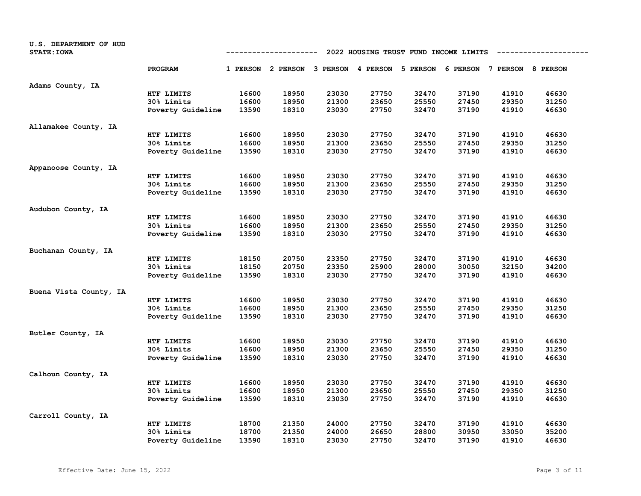| U.S. DEPARTMENT OF HUD<br><b>STATE: IOWA</b> | 2022 HOUSING TRUST FUND INCOME LIMITS<br>-----------------<br>---------- |       |                                                                         |       |       |       |       |       |       |  |
|----------------------------------------------|--------------------------------------------------------------------------|-------|-------------------------------------------------------------------------|-------|-------|-------|-------|-------|-------|--|
|                                              | PROGRAM                                                                  |       | 1 PERSON 2 PERSON 3 PERSON 4 PERSON 5 PERSON 6 PERSON 7 PERSON 8 PERSON |       |       |       |       |       |       |  |
| Adams County, IA                             |                                                                          |       |                                                                         |       |       |       |       |       |       |  |
|                                              | HTF LIMITS                                                               | 16600 | 18950                                                                   | 23030 | 27750 | 32470 | 37190 | 41910 | 46630 |  |
|                                              | 30% Limits                                                               | 16600 | 18950                                                                   | 21300 | 23650 | 25550 | 27450 | 29350 | 31250 |  |
|                                              | Poverty Guideline                                                        | 13590 | 18310                                                                   | 23030 | 27750 | 32470 | 37190 | 41910 | 46630 |  |
| Allamakee County, IA                         |                                                                          |       |                                                                         |       |       |       |       |       |       |  |
|                                              | HTF LIMITS                                                               | 16600 | 18950                                                                   | 23030 | 27750 | 32470 | 37190 | 41910 | 46630 |  |
|                                              | 30% Limits                                                               | 16600 | 18950                                                                   | 21300 | 23650 | 25550 | 27450 | 29350 | 31250 |  |
|                                              | Poverty Guideline                                                        | 13590 | 18310                                                                   | 23030 | 27750 | 32470 | 37190 | 41910 | 46630 |  |
| Appanoose County, IA                         |                                                                          |       |                                                                         |       |       |       |       |       |       |  |
|                                              | HTF LIMITS                                                               | 16600 | 18950                                                                   | 23030 | 27750 | 32470 | 37190 | 41910 | 46630 |  |
|                                              | 30% Limits                                                               | 16600 | 18950                                                                   | 21300 | 23650 | 25550 | 27450 | 29350 | 31250 |  |
|                                              | Poverty Guideline                                                        | 13590 | 18310                                                                   | 23030 | 27750 | 32470 | 37190 | 41910 | 46630 |  |
| Audubon County, IA                           |                                                                          |       |                                                                         |       |       |       |       |       |       |  |
|                                              | HTF LIMITS                                                               | 16600 | 18950                                                                   | 23030 | 27750 | 32470 | 37190 | 41910 | 46630 |  |
|                                              | 30% Limits                                                               | 16600 | 18950                                                                   | 21300 | 23650 | 25550 | 27450 | 29350 | 31250 |  |
|                                              | Poverty Guideline                                                        | 13590 | 18310                                                                   | 23030 | 27750 | 32470 | 37190 | 41910 | 46630 |  |
| Buchanan County, IA                          |                                                                          |       |                                                                         |       |       |       |       |       |       |  |
|                                              | HTF LIMITS                                                               | 18150 | 20750                                                                   | 23350 | 27750 | 32470 | 37190 | 41910 | 46630 |  |
|                                              | 30% Limits                                                               | 18150 | 20750                                                                   | 23350 | 25900 | 28000 | 30050 | 32150 | 34200 |  |
|                                              | Poverty Guideline                                                        | 13590 | 18310                                                                   | 23030 | 27750 | 32470 | 37190 | 41910 | 46630 |  |
| Buena Vista County, IA                       |                                                                          |       |                                                                         |       |       |       |       |       |       |  |
|                                              | HTF LIMITS                                                               | 16600 | 18950                                                                   | 23030 | 27750 | 32470 | 37190 | 41910 | 46630 |  |
|                                              | 30% Limits                                                               | 16600 | 18950                                                                   | 21300 | 23650 | 25550 | 27450 | 29350 | 31250 |  |
|                                              | Poverty Guideline                                                        | 13590 | 18310                                                                   | 23030 | 27750 | 32470 | 37190 | 41910 | 46630 |  |
| Butler County, IA                            |                                                                          |       |                                                                         |       |       |       |       |       |       |  |
|                                              | HTF LIMITS                                                               | 16600 | 18950                                                                   | 23030 | 27750 | 32470 | 37190 | 41910 | 46630 |  |
|                                              | 30% Limits                                                               | 16600 | 18950                                                                   | 21300 | 23650 | 25550 | 27450 | 29350 | 31250 |  |
|                                              | Poverty Guideline                                                        | 13590 | 18310                                                                   | 23030 | 27750 | 32470 | 37190 | 41910 | 46630 |  |
| Calhoun County, IA                           |                                                                          |       |                                                                         |       |       |       |       |       |       |  |
|                                              | HTF LIMITS                                                               | 16600 | 18950                                                                   | 23030 | 27750 | 32470 | 37190 | 41910 | 46630 |  |
|                                              | 30% Limits                                                               | 16600 | 18950                                                                   | 21300 | 23650 | 25550 | 27450 | 29350 | 31250 |  |
|                                              | Poverty Guideline                                                        | 13590 | 18310                                                                   | 23030 | 27750 | 32470 | 37190 | 41910 | 46630 |  |
| Carroll County, IA                           |                                                                          |       |                                                                         |       |       |       |       |       |       |  |
|                                              | HTF LIMITS                                                               | 18700 | 21350                                                                   | 24000 | 27750 | 32470 | 37190 | 41910 | 46630 |  |
|                                              | 30% Limits                                                               | 18700 | 21350                                                                   | 24000 | 26650 | 28800 | 30950 | 33050 | 35200 |  |
|                                              | Poverty Guideline                                                        | 13590 | 18310                                                                   | 23030 | 27750 | 32470 | 37190 | 41910 | 46630 |  |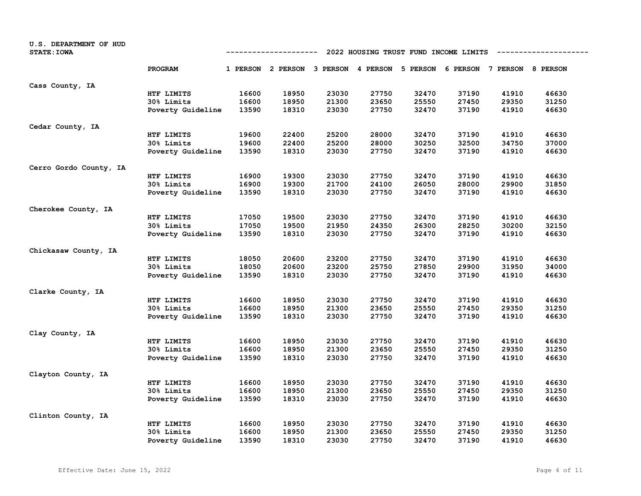| U.S. DEPARTMENT OF HUD<br><b>STATE: IOWA</b> |                   |       | -----------                         |       | 2022 HOUSING TRUST FUND INCOME LIMITS |       |                                     |       |       |
|----------------------------------------------|-------------------|-------|-------------------------------------|-------|---------------------------------------|-------|-------------------------------------|-------|-------|
|                                              | PROGRAM           |       | 1 PERSON 2 PERSON 3 PERSON 4 PERSON |       |                                       |       | 5 PERSON 6 PERSON 7 PERSON 8 PERSON |       |       |
| Cass County, IA                              |                   |       |                                     |       |                                       |       |                                     |       |       |
|                                              | HTF LIMITS        | 16600 | 18950                               | 23030 | 27750                                 | 32470 | 37190                               | 41910 | 46630 |
|                                              | 30% Limits        | 16600 | 18950                               | 21300 | 23650                                 | 25550 | 27450                               | 29350 | 31250 |
|                                              | Poverty Guideline | 13590 | 18310                               | 23030 | 27750                                 | 32470 | 37190                               | 41910 | 46630 |
| Cedar County, IA                             |                   |       |                                     |       |                                       |       |                                     |       |       |
|                                              | HTF LIMITS        | 19600 | 22400                               | 25200 | 28000                                 | 32470 | 37190                               | 41910 | 46630 |
|                                              | 30% Limits        | 19600 | 22400                               | 25200 | 28000                                 | 30250 | 32500                               | 34750 | 37000 |
|                                              | Poverty Guideline | 13590 | 18310                               | 23030 | 27750                                 | 32470 | 37190                               | 41910 | 46630 |
| Cerro Gordo County, IA                       |                   |       |                                     |       |                                       |       |                                     |       |       |
|                                              | HTF LIMITS        | 16900 | 19300                               | 23030 | 27750                                 | 32470 | 37190                               | 41910 | 46630 |
|                                              | 30% Limits        | 16900 | 19300                               | 21700 | 24100                                 | 26050 | 28000                               | 29900 | 31850 |
|                                              | Poverty Guideline | 13590 | 18310                               | 23030 | 27750                                 | 32470 | 37190                               | 41910 | 46630 |
| Cherokee County, IA                          |                   |       |                                     |       |                                       |       |                                     |       |       |
|                                              | HTF LIMITS        | 17050 | 19500                               | 23030 | 27750                                 | 32470 | 37190                               | 41910 | 46630 |
|                                              | 30% Limits        | 17050 | 19500                               | 21950 | 24350                                 | 26300 | 28250                               | 30200 | 32150 |
|                                              | Poverty Guideline | 13590 | 18310                               | 23030 | 27750                                 | 32470 | 37190                               | 41910 | 46630 |
| Chickasaw County, IA                         |                   |       |                                     |       |                                       |       |                                     |       |       |
|                                              | HTF LIMITS        | 18050 | 20600                               | 23200 | 27750                                 | 32470 | 37190                               | 41910 | 46630 |
|                                              | 30% Limits        | 18050 | 20600                               | 23200 | 25750                                 | 27850 | 29900                               | 31950 | 34000 |
|                                              | Poverty Guideline | 13590 | 18310                               | 23030 | 27750                                 | 32470 | 37190                               | 41910 | 46630 |
| Clarke County, IA                            |                   |       |                                     |       |                                       |       |                                     |       |       |
|                                              | HTF LIMITS        | 16600 | 18950                               | 23030 | 27750                                 | 32470 | 37190                               | 41910 | 46630 |
|                                              | 30% Limits        | 16600 | 18950                               | 21300 | 23650                                 | 25550 | 27450                               | 29350 | 31250 |
|                                              | Poverty Guideline | 13590 | 18310                               | 23030 | 27750                                 | 32470 | 37190                               | 41910 | 46630 |
| Clay County, IA                              |                   |       |                                     |       |                                       |       |                                     |       |       |
|                                              | HTF LIMITS        | 16600 | 18950                               | 23030 | 27750                                 | 32470 | 37190                               | 41910 | 46630 |
|                                              | 30% Limits        | 16600 | 18950                               | 21300 | 23650                                 | 25550 | 27450                               | 29350 | 31250 |
|                                              | Poverty Guideline | 13590 | 18310                               | 23030 | 27750                                 | 32470 | 37190                               | 41910 | 46630 |
| Clayton County, IA                           |                   |       |                                     |       |                                       |       |                                     |       |       |
|                                              | HTF LIMITS        | 16600 | 18950                               | 23030 | 27750                                 | 32470 | 37190                               | 41910 | 46630 |
|                                              | 30% Limits        | 16600 | 18950                               | 21300 | 23650                                 | 25550 | 27450                               | 29350 | 31250 |
|                                              | Poverty Guideline | 13590 | 18310                               | 23030 | 27750                                 | 32470 | 37190                               | 41910 | 46630 |
| Clinton County, IA                           |                   |       |                                     |       |                                       |       |                                     |       |       |
|                                              | HTF LIMITS        | 16600 | 18950                               | 23030 | 27750                                 | 32470 | 37190                               | 41910 | 46630 |
|                                              | 30% Limits        | 16600 | 18950                               | 21300 | 23650                                 | 25550 | 27450                               | 29350 | 31250 |
|                                              | Poverty Guideline | 13590 | 18310                               | 23030 | 27750                                 | 32470 | 37190                               | 41910 | 46630 |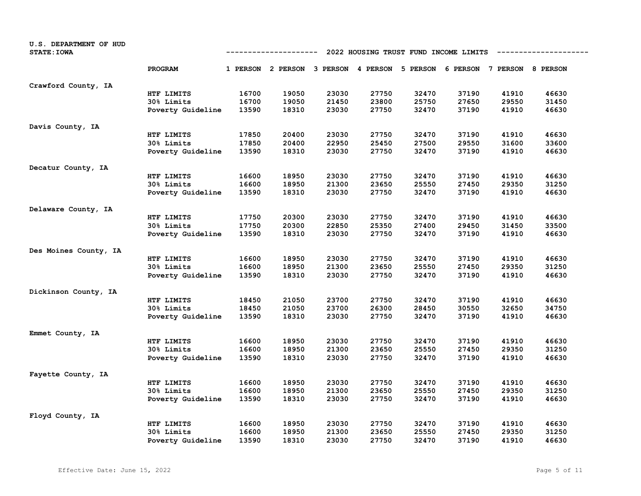| U.S. DEPARTMENT OF HUD<br><b>STATE: IOWA</b> |                   |       | -------------     |       | 2022 HOUSING TRUST FUND INCOME LIMITS |                            |       |                            |       |
|----------------------------------------------|-------------------|-------|-------------------|-------|---------------------------------------|----------------------------|-------|----------------------------|-------|
|                                              | PROGRAM           |       | 1 PERSON 2 PERSON |       |                                       | 3 PERSON 4 PERSON 5 PERSON |       | 6 PERSON 7 PERSON 8 PERSON |       |
| Crawford County, IA                          |                   |       |                   |       |                                       |                            |       |                            |       |
|                                              | HTF LIMITS        | 16700 | 19050             | 23030 | 27750                                 | 32470                      | 37190 | 41910                      | 46630 |
|                                              | 30% Limits        | 16700 | 19050             | 21450 | 23800                                 | 25750                      | 27650 | 29550                      | 31450 |
|                                              | Poverty Guideline | 13590 | 18310             | 23030 | 27750                                 | 32470                      | 37190 | 41910                      | 46630 |
| Davis County, IA                             |                   |       |                   |       |                                       |                            |       |                            |       |
|                                              | HTF LIMITS        | 17850 | 20400             | 23030 | 27750                                 | 32470                      | 37190 | 41910                      | 46630 |
|                                              | 30% Limits        | 17850 | 20400             | 22950 | 25450                                 | 27500                      | 29550 | 31600                      | 33600 |
|                                              | Poverty Guideline | 13590 | 18310             | 23030 | 27750                                 | 32470                      | 37190 | 41910                      | 46630 |
| Decatur County, IA                           |                   |       |                   |       |                                       |                            |       |                            |       |
|                                              | HTF LIMITS        | 16600 | 18950             | 23030 | 27750                                 | 32470                      | 37190 | 41910                      | 46630 |
|                                              | <b>30% Limits</b> | 16600 | 18950             | 21300 | 23650                                 | 25550                      | 27450 | 29350                      | 31250 |
|                                              | Poverty Guideline | 13590 | 18310             | 23030 | 27750                                 | 32470                      | 37190 | 41910                      | 46630 |
| Delaware County, IA                          |                   |       |                   |       |                                       |                            |       |                            |       |
|                                              | HTF LIMITS        | 17750 | 20300             | 23030 | 27750                                 | 32470                      | 37190 | 41910                      | 46630 |
|                                              | 30% Limits        | 17750 | 20300             | 22850 | 25350                                 | 27400                      | 29450 | 31450                      | 33500 |
|                                              | Poverty Guideline | 13590 | 18310             | 23030 | 27750                                 | 32470                      | 37190 | 41910                      | 46630 |
| Des Moines County, IA                        |                   |       |                   |       |                                       |                            |       |                            |       |
|                                              | HTF LIMITS        | 16600 | 18950             | 23030 | 27750                                 | 32470                      | 37190 | 41910                      | 46630 |
|                                              | 30% Limits        | 16600 | 18950             | 21300 | 23650                                 | 25550                      | 27450 | 29350                      | 31250 |
|                                              | Poverty Guideline | 13590 | 18310             | 23030 | 27750                                 | 32470                      | 37190 | 41910                      | 46630 |
| Dickinson County, IA                         |                   |       |                   |       |                                       |                            |       |                            |       |
|                                              | HTF LIMITS        | 18450 | 21050             | 23700 | 27750                                 | 32470                      | 37190 | 41910                      | 46630 |
|                                              | 30% Limits        | 18450 | 21050             | 23700 | 26300                                 | 28450                      | 30550 | 32650                      | 34750 |
|                                              | Poverty Guideline | 13590 | 18310             | 23030 | 27750                                 | 32470                      | 37190 | 41910                      | 46630 |
| Emmet County, IA                             |                   |       |                   |       |                                       |                            |       |                            |       |
|                                              | HTF LIMITS        | 16600 | 18950             | 23030 | 27750                                 | 32470                      | 37190 | 41910                      | 46630 |
|                                              | 30% Limits        | 16600 | 18950             | 21300 | 23650                                 | 25550                      | 27450 | 29350                      | 31250 |
|                                              | Poverty Guideline | 13590 | 18310             | 23030 | 27750                                 | 32470                      | 37190 | 41910                      | 46630 |
| Fayette County, IA                           |                   |       |                   |       |                                       |                            |       |                            |       |
|                                              | HTF LIMITS        | 16600 | 18950             | 23030 | 27750                                 | 32470                      | 37190 | 41910                      | 46630 |
|                                              | 30% Limits        | 16600 | 18950             | 21300 | 23650                                 | 25550                      | 27450 | 29350                      | 31250 |
|                                              | Poverty Guideline | 13590 | 18310             | 23030 | 27750                                 | 32470                      | 37190 | 41910                      | 46630 |
| Floyd County, IA                             |                   |       |                   |       |                                       |                            |       |                            |       |
|                                              | HTF LIMITS        | 16600 | 18950             | 23030 | 27750                                 | 32470                      | 37190 | 41910                      | 46630 |
|                                              | <b>30% Limits</b> | 16600 | 18950             | 21300 | 23650                                 | 25550                      | 27450 | 29350                      | 31250 |
|                                              | Poverty Guideline | 13590 | 18310             | 23030 | 27750                                 | 32470                      | 37190 | 41910                      | 46630 |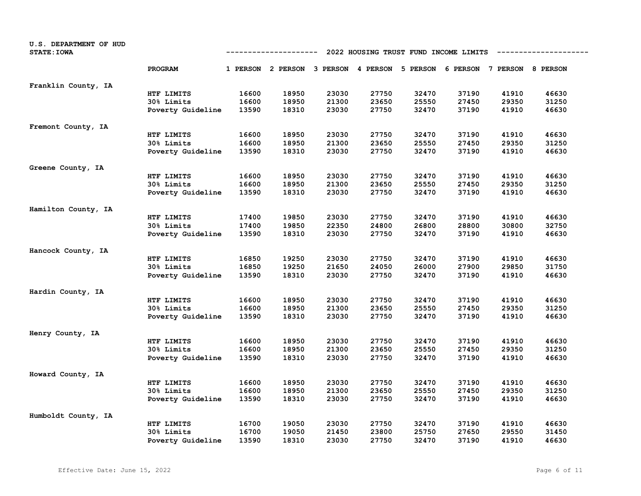| U.S. DEPARTMENT OF HUD<br><b>STATE: IOWA</b> |                   |       | ------------                        |       | 2022 HOUSING TRUST FUND INCOME LIMITS |       |                                     |       |       |
|----------------------------------------------|-------------------|-------|-------------------------------------|-------|---------------------------------------|-------|-------------------------------------|-------|-------|
|                                              | PROGRAM           |       | 1 PERSON 2 PERSON 3 PERSON 4 PERSON |       |                                       |       | 5 PERSON 6 PERSON 7 PERSON 8 PERSON |       |       |
| Franklin County, IA                          |                   |       |                                     |       |                                       |       |                                     |       |       |
|                                              | HTF LIMITS        | 16600 | 18950                               | 23030 | 27750                                 | 32470 | 37190                               | 41910 | 46630 |
|                                              | 30% Limits        | 16600 | 18950                               | 21300 | 23650                                 | 25550 | 27450                               | 29350 | 31250 |
|                                              | Poverty Guideline | 13590 | 18310                               | 23030 | 27750                                 | 32470 | 37190                               | 41910 | 46630 |
| Fremont County, IA                           |                   |       |                                     |       |                                       |       |                                     |       |       |
|                                              | HTF LIMITS        | 16600 | 18950                               | 23030 | 27750                                 | 32470 | 37190                               | 41910 | 46630 |
|                                              | 30% Limits        | 16600 | 18950                               | 21300 | 23650                                 | 25550 | 27450                               | 29350 | 31250 |
|                                              | Poverty Guideline | 13590 | 18310                               | 23030 | 27750                                 | 32470 | 37190                               | 41910 | 46630 |
| Greene County, IA                            |                   |       |                                     |       |                                       |       |                                     |       |       |
|                                              | HTF LIMITS        | 16600 | 18950                               | 23030 | 27750                                 | 32470 | 37190                               | 41910 | 46630 |
|                                              | 30% Limits        | 16600 | 18950                               | 21300 | 23650                                 | 25550 | 27450                               | 29350 | 31250 |
|                                              | Poverty Guideline | 13590 | 18310                               | 23030 | 27750                                 | 32470 | 37190                               | 41910 | 46630 |
| Hamilton County, IA                          |                   |       |                                     |       |                                       |       |                                     |       |       |
|                                              | HTF LIMITS        | 17400 | 19850                               | 23030 | 27750                                 | 32470 | 37190                               | 41910 | 46630 |
|                                              | 30% Limits        | 17400 | 19850                               | 22350 | 24800                                 | 26800 | 28800                               | 30800 | 32750 |
|                                              | Poverty Guideline | 13590 | 18310                               | 23030 | 27750                                 | 32470 | 37190                               | 41910 | 46630 |
| Hancock County, IA                           |                   |       |                                     |       |                                       |       |                                     |       |       |
|                                              | HTF LIMITS        | 16850 | 19250                               | 23030 | 27750                                 | 32470 | 37190                               | 41910 | 46630 |
|                                              | 30% Limits        | 16850 | 19250                               | 21650 | 24050                                 | 26000 | 27900                               | 29850 | 31750 |
|                                              | Poverty Guideline | 13590 | 18310                               | 23030 | 27750                                 | 32470 | 37190                               | 41910 | 46630 |
| Hardin County, IA                            |                   |       |                                     |       |                                       |       |                                     |       |       |
|                                              | HTF LIMITS        | 16600 | 18950                               | 23030 | 27750                                 | 32470 | 37190                               | 41910 | 46630 |
|                                              | 30% Limits        | 16600 | 18950                               | 21300 | 23650                                 | 25550 | 27450                               | 29350 | 31250 |
|                                              | Poverty Guideline | 13590 | 18310                               | 23030 | 27750                                 | 32470 | 37190                               | 41910 | 46630 |
| Henry County, IA                             |                   |       |                                     |       |                                       |       |                                     |       |       |
|                                              | HTF LIMITS        | 16600 | 18950                               | 23030 | 27750                                 | 32470 | 37190                               | 41910 | 46630 |
|                                              | 30% Limits        | 16600 | 18950                               | 21300 | 23650                                 | 25550 | 27450                               | 29350 | 31250 |
|                                              | Poverty Guideline | 13590 | 18310                               | 23030 | 27750                                 | 32470 | 37190                               | 41910 | 46630 |
| Howard County, IA                            |                   |       |                                     |       |                                       |       |                                     |       |       |
|                                              | HTF LIMITS        | 16600 | 18950                               | 23030 | 27750                                 | 32470 | 37190                               | 41910 | 46630 |
|                                              | 30% Limits        | 16600 | 18950                               | 21300 | 23650                                 | 25550 | 27450                               | 29350 | 31250 |
|                                              | Poverty Guideline | 13590 | 18310                               | 23030 | 27750                                 | 32470 | 37190                               | 41910 | 46630 |
| Humboldt County, IA                          |                   |       |                                     |       |                                       |       |                                     |       |       |
|                                              | HTF LIMITS        | 16700 | 19050                               | 23030 | 27750                                 | 32470 | 37190                               | 41910 | 46630 |
|                                              | 30% Limits        | 16700 | 19050                               | 21450 | 23800                                 | 25750 | 27650                               | 29550 | 31450 |
|                                              | Poverty Guideline | 13590 | 18310                               | 23030 | 27750                                 | 32470 | 37190                               | 41910 | 46630 |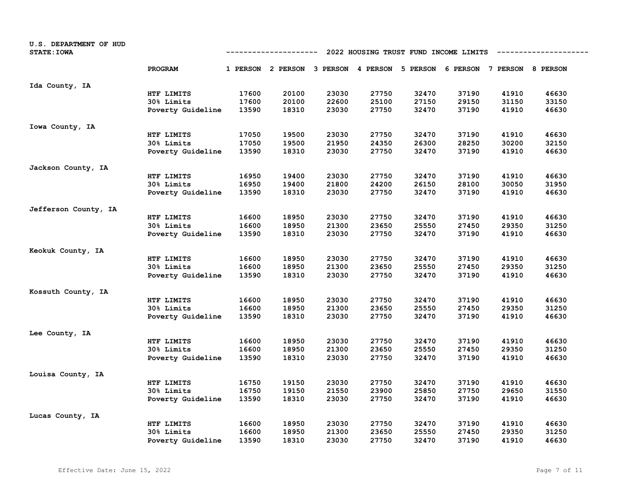| U.S. DEPARTMENT OF HUD<br><b>STATE: IOWA</b> |                   | 2022 HOUSING TRUST FUND INCOME LIMITS<br>------------- |                   |       |       |                            |       |                            |       |
|----------------------------------------------|-------------------|--------------------------------------------------------|-------------------|-------|-------|----------------------------|-------|----------------------------|-------|
|                                              | PROGRAM           |                                                        | 1 PERSON 2 PERSON |       |       | 3 PERSON 4 PERSON 5 PERSON |       | 6 PERSON 7 PERSON 8 PERSON |       |
| Ida County, IA                               |                   |                                                        |                   |       |       |                            |       |                            |       |
|                                              | HTF LIMITS        | 17600                                                  | 20100             | 23030 | 27750 | 32470                      | 37190 | 41910                      | 46630 |
|                                              | 30% Limits        | 17600                                                  | 20100             | 22600 | 25100 | 27150                      | 29150 | 31150                      | 33150 |
|                                              | Poverty Guideline | 13590                                                  | 18310             | 23030 | 27750 | 32470                      | 37190 | 41910                      | 46630 |
| Iowa County, IA                              |                   |                                                        |                   |       |       |                            |       |                            |       |
|                                              | HTF LIMITS        | 17050                                                  | 19500             | 23030 | 27750 | 32470                      | 37190 | 41910                      | 46630 |
|                                              | 30% Limits        | 17050                                                  | 19500             | 21950 | 24350 | 26300                      | 28250 | 30200                      | 32150 |
|                                              | Poverty Guideline | 13590                                                  | 18310             | 23030 | 27750 | 32470                      | 37190 | 41910                      | 46630 |
| Jackson County, IA                           |                   |                                                        |                   |       |       |                            |       |                            |       |
|                                              | HTF LIMITS        | 16950                                                  | 19400             | 23030 | 27750 | 32470                      | 37190 | 41910                      | 46630 |
|                                              | 30% Limits        | 16950                                                  | 19400             | 21800 | 24200 | 26150                      | 28100 | 30050                      | 31950 |
|                                              | Poverty Guideline | 13590                                                  | 18310             | 23030 | 27750 | 32470                      | 37190 | 41910                      | 46630 |
| Jefferson County, IA                         |                   |                                                        |                   |       |       |                            |       |                            |       |
|                                              | HTF LIMITS        | 16600                                                  | 18950             | 23030 | 27750 | 32470                      | 37190 | 41910                      | 46630 |
|                                              | <b>30% Limits</b> | 16600                                                  | 18950             | 21300 | 23650 | 25550                      | 27450 | 29350                      | 31250 |
|                                              | Poverty Guideline | 13590                                                  | 18310             | 23030 | 27750 | 32470                      | 37190 | 41910                      | 46630 |
| Keokuk County, IA                            |                   |                                                        |                   |       |       |                            |       |                            |       |
|                                              | HTF LIMITS        | 16600                                                  | 18950             | 23030 | 27750 | 32470                      | 37190 | 41910                      | 46630 |
|                                              | 30% Limits        | 16600                                                  | 18950             | 21300 | 23650 | 25550                      | 27450 | 29350                      | 31250 |
|                                              | Poverty Guideline | 13590                                                  | 18310             | 23030 | 27750 | 32470                      | 37190 | 41910                      | 46630 |
| Kossuth County, IA                           |                   |                                                        |                   |       |       |                            |       |                            |       |
|                                              | HTF LIMITS        | 16600                                                  | 18950             | 23030 | 27750 | 32470                      | 37190 | 41910                      | 46630 |
|                                              | 30% Limits        | 16600                                                  | 18950             | 21300 | 23650 | 25550                      | 27450 | 29350                      | 31250 |
|                                              | Poverty Guideline | 13590                                                  | 18310             | 23030 | 27750 | 32470                      | 37190 | 41910                      | 46630 |
| Lee County, IA                               |                   |                                                        |                   |       |       |                            |       |                            |       |
|                                              | HTF LIMITS        | 16600                                                  | 18950             | 23030 | 27750 | 32470                      | 37190 | 41910                      | 46630 |
|                                              | 30% Limits        | 16600                                                  | 18950             | 21300 | 23650 | 25550                      | 27450 | 29350                      | 31250 |
|                                              | Poverty Guideline | 13590                                                  | 18310             | 23030 | 27750 | 32470                      | 37190 | 41910                      | 46630 |
| Louisa County, IA                            |                   |                                                        |                   |       |       |                            |       |                            |       |
|                                              | HTF LIMITS        | 16750                                                  | 19150             | 23030 | 27750 | 32470                      | 37190 | 41910                      | 46630 |
|                                              | 30% Limits        | 16750                                                  | 19150             | 21550 | 23900 | 25850                      | 27750 | 29650                      | 31550 |
|                                              | Poverty Guideline | 13590                                                  | 18310             | 23030 | 27750 | 32470                      | 37190 | 41910                      | 46630 |
| Lucas County, IA                             |                   |                                                        |                   |       |       |                            |       |                            |       |
|                                              | HTF LIMITS        | 16600                                                  | 18950             | 23030 | 27750 | 32470                      | 37190 | 41910                      | 46630 |
|                                              | <b>30% Limits</b> | 16600                                                  | 18950             | 21300 | 23650 | 25550                      | 27450 | 29350                      | 31250 |
|                                              | Poverty Guideline | 13590                                                  | 18310             | 23030 | 27750 | 32470                      | 37190 | 41910                      | 46630 |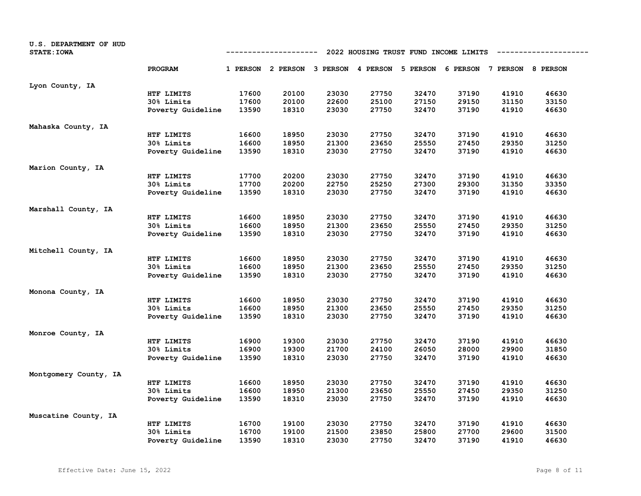| U.S. DEPARTMENT OF HUD<br><b>STATE: IOWA</b> | 2022 HOUSING TRUST FUND INCOME LIMITS<br>-----------------<br>---------- |       |                                     |       |       |                                     |       |       |       |
|----------------------------------------------|--------------------------------------------------------------------------|-------|-------------------------------------|-------|-------|-------------------------------------|-------|-------|-------|
|                                              | PROGRAM                                                                  |       | 1 PERSON 2 PERSON 3 PERSON 4 PERSON |       |       | 5 PERSON 6 PERSON 7 PERSON 8 PERSON |       |       |       |
| Lyon County, IA                              |                                                                          |       |                                     |       |       |                                     |       |       |       |
|                                              | HTF LIMITS                                                               | 17600 | 20100                               | 23030 | 27750 | 32470                               | 37190 | 41910 | 46630 |
|                                              | 30% Limits                                                               | 17600 | 20100                               | 22600 | 25100 | 27150                               | 29150 | 31150 | 33150 |
|                                              | Poverty Guideline                                                        | 13590 | 18310                               | 23030 | 27750 | 32470                               | 37190 | 41910 | 46630 |
| Mahaska County, IA                           |                                                                          |       |                                     |       |       |                                     |       |       |       |
|                                              | HTF LIMITS                                                               | 16600 | 18950                               | 23030 | 27750 | 32470                               | 37190 | 41910 | 46630 |
|                                              | 30% Limits                                                               | 16600 | 18950                               | 21300 | 23650 | 25550                               | 27450 | 29350 | 31250 |
|                                              | Poverty Guideline                                                        | 13590 | 18310                               | 23030 | 27750 | 32470                               | 37190 | 41910 | 46630 |
| Marion County, IA                            |                                                                          |       |                                     |       |       |                                     |       |       |       |
|                                              | HTF LIMITS                                                               | 17700 | 20200                               | 23030 | 27750 | 32470                               | 37190 | 41910 | 46630 |
|                                              | 30% Limits                                                               | 17700 | 20200                               | 22750 | 25250 | 27300                               | 29300 | 31350 | 33350 |
|                                              | Poverty Guideline                                                        | 13590 | 18310                               | 23030 | 27750 | 32470                               | 37190 | 41910 | 46630 |
| Marshall County, IA                          |                                                                          |       |                                     |       |       |                                     |       |       |       |
|                                              | HTF LIMITS                                                               | 16600 | 18950                               | 23030 | 27750 | 32470                               | 37190 | 41910 | 46630 |
|                                              | 30% Limits                                                               | 16600 | 18950                               | 21300 | 23650 | 25550                               | 27450 | 29350 | 31250 |
|                                              | Poverty Guideline                                                        | 13590 | 18310                               | 23030 | 27750 | 32470                               | 37190 | 41910 | 46630 |
| Mitchell County, IA                          |                                                                          |       |                                     |       |       |                                     |       |       |       |
|                                              | HTF LIMITS                                                               | 16600 | 18950                               | 23030 | 27750 | 32470                               | 37190 | 41910 | 46630 |
|                                              | 30% Limits                                                               | 16600 | 18950                               | 21300 | 23650 | 25550                               | 27450 | 29350 | 31250 |
|                                              | Poverty Guideline                                                        | 13590 | 18310                               | 23030 | 27750 | 32470                               | 37190 | 41910 | 46630 |
| Monona County, IA                            |                                                                          |       |                                     |       |       |                                     |       |       |       |
|                                              | HTF LIMITS                                                               | 16600 | 18950                               | 23030 | 27750 | 32470                               | 37190 | 41910 | 46630 |
|                                              | 30% Limits                                                               | 16600 | 18950                               | 21300 | 23650 | 25550                               | 27450 | 29350 | 31250 |
|                                              | Poverty Guideline                                                        | 13590 | 18310                               | 23030 | 27750 | 32470                               | 37190 | 41910 | 46630 |
| Monroe County, IA                            |                                                                          |       |                                     |       |       |                                     |       |       |       |
|                                              | HTF LIMITS                                                               | 16900 | 19300                               | 23030 | 27750 | 32470                               | 37190 | 41910 | 46630 |
|                                              | 30% Limits                                                               | 16900 | 19300                               | 21700 | 24100 | 26050                               | 28000 | 29900 | 31850 |
|                                              | Poverty Guideline                                                        | 13590 | 18310                               | 23030 | 27750 | 32470                               | 37190 | 41910 | 46630 |
| Montgomery County, IA                        |                                                                          |       |                                     |       |       |                                     |       |       |       |
|                                              | HTF LIMITS                                                               | 16600 | 18950                               | 23030 | 27750 | 32470                               | 37190 | 41910 | 46630 |
|                                              | 30% Limits                                                               | 16600 | 18950                               | 21300 | 23650 | 25550                               | 27450 | 29350 | 31250 |
|                                              | Poverty Guideline                                                        | 13590 | 18310                               | 23030 | 27750 | 32470                               | 37190 | 41910 | 46630 |
| Muscatine County, IA                         |                                                                          |       |                                     |       |       |                                     |       |       |       |
|                                              | HTF LIMITS                                                               | 16700 | 19100                               | 23030 | 27750 | 32470                               | 37190 | 41910 | 46630 |
|                                              | 30% Limits                                                               | 16700 | 19100                               | 21500 | 23850 | 25800                               | 27700 | 29600 | 31500 |
|                                              | Poverty Guideline                                                        | 13590 | 18310                               | 23030 | 27750 | 32470                               | 37190 | 41910 | 46630 |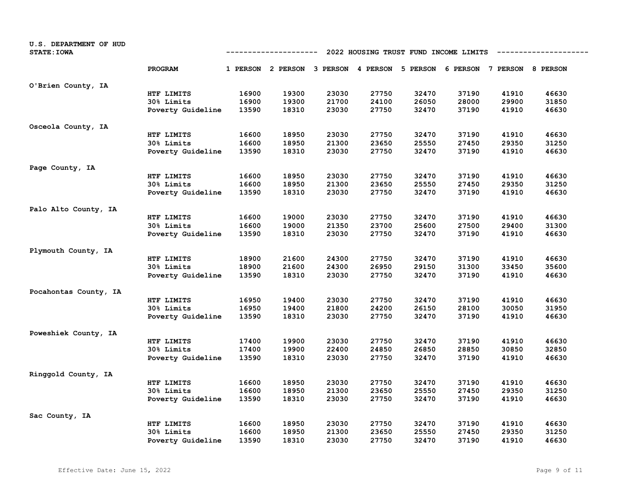| U.S. DEPARTMENT OF HUD<br><b>STATE: IOWA</b> | 2022 HOUSING TRUST FUND INCOME LIMITS<br>-----------------<br>---------- |       |                                     |       |       |                                     |       |       |       |
|----------------------------------------------|--------------------------------------------------------------------------|-------|-------------------------------------|-------|-------|-------------------------------------|-------|-------|-------|
|                                              | PROGRAM                                                                  |       | 1 PERSON 2 PERSON 3 PERSON 4 PERSON |       |       | 5 PERSON 6 PERSON 7 PERSON 8 PERSON |       |       |       |
| O'Brien County, IA                           |                                                                          |       |                                     |       |       |                                     |       |       |       |
|                                              | HTF LIMITS                                                               | 16900 | 19300                               | 23030 | 27750 | 32470                               | 37190 | 41910 | 46630 |
|                                              | 30% Limits                                                               | 16900 | 19300                               | 21700 | 24100 | 26050                               | 28000 | 29900 | 31850 |
|                                              | Poverty Guideline                                                        | 13590 | 18310                               | 23030 | 27750 | 32470                               | 37190 | 41910 | 46630 |
| Osceola County, IA                           |                                                                          |       |                                     |       |       |                                     |       |       |       |
|                                              | HTF LIMITS                                                               | 16600 | 18950                               | 23030 | 27750 | 32470                               | 37190 | 41910 | 46630 |
|                                              | 30% Limits                                                               | 16600 | 18950                               | 21300 | 23650 | 25550                               | 27450 | 29350 | 31250 |
|                                              | Poverty Guideline                                                        | 13590 | 18310                               | 23030 | 27750 | 32470                               | 37190 | 41910 | 46630 |
| Page County, IA                              |                                                                          |       |                                     |       |       |                                     |       |       |       |
|                                              | HTF LIMITS                                                               | 16600 | 18950                               | 23030 | 27750 | 32470                               | 37190 | 41910 | 46630 |
|                                              | 30% Limits                                                               | 16600 | 18950                               | 21300 | 23650 | 25550                               | 27450 | 29350 | 31250 |
|                                              | Poverty Guideline                                                        | 13590 | 18310                               | 23030 | 27750 | 32470                               | 37190 | 41910 | 46630 |
| Palo Alto County, IA                         |                                                                          |       |                                     |       |       |                                     |       |       |       |
|                                              | HTF LIMITS                                                               | 16600 | 19000                               | 23030 | 27750 | 32470                               | 37190 | 41910 | 46630 |
|                                              | 30% Limits                                                               | 16600 | 19000                               | 21350 | 23700 | 25600                               | 27500 | 29400 | 31300 |
|                                              | Poverty Guideline                                                        | 13590 | 18310                               | 23030 | 27750 | 32470                               | 37190 | 41910 | 46630 |
| Plymouth County, IA                          |                                                                          |       |                                     |       |       |                                     |       |       |       |
|                                              | HTF LIMITS                                                               | 18900 | 21600                               | 24300 | 27750 | 32470                               | 37190 | 41910 | 46630 |
|                                              | 30% Limits                                                               | 18900 | 21600                               | 24300 | 26950 | 29150                               | 31300 | 33450 | 35600 |
|                                              | Poverty Guideline                                                        | 13590 | 18310                               | 23030 | 27750 | 32470                               | 37190 | 41910 | 46630 |
| Pocahontas County, IA                        |                                                                          |       |                                     |       |       |                                     |       |       |       |
|                                              | HTF LIMITS                                                               | 16950 | 19400                               | 23030 | 27750 | 32470                               | 37190 | 41910 | 46630 |
|                                              | 30% Limits                                                               | 16950 | 19400                               | 21800 | 24200 | 26150                               | 28100 | 30050 | 31950 |
|                                              | Poverty Guideline                                                        | 13590 | 18310                               | 23030 | 27750 | 32470                               | 37190 | 41910 | 46630 |
| Poweshiek County, IA                         |                                                                          |       |                                     |       |       |                                     |       |       |       |
|                                              | HTF LIMITS                                                               | 17400 | 19900                               | 23030 | 27750 | 32470                               | 37190 | 41910 | 46630 |
|                                              | 30% Limits                                                               | 17400 | 19900                               | 22400 | 24850 | 26850                               | 28850 | 30850 | 32850 |
|                                              | Poverty Guideline                                                        | 13590 | 18310                               | 23030 | 27750 | 32470                               | 37190 | 41910 | 46630 |
| Ringgold County, IA                          |                                                                          |       |                                     |       |       |                                     |       |       |       |
|                                              | HTF LIMITS                                                               | 16600 | 18950                               | 23030 | 27750 | 32470                               | 37190 | 41910 | 46630 |
|                                              | 30% Limits                                                               | 16600 | 18950                               | 21300 | 23650 | 25550                               | 27450 | 29350 | 31250 |
|                                              | Poverty Guideline                                                        | 13590 | 18310                               | 23030 | 27750 | 32470                               | 37190 | 41910 | 46630 |
| Sac County, IA                               |                                                                          |       |                                     |       |       |                                     |       |       |       |
|                                              | HTF LIMITS                                                               | 16600 | 18950                               | 23030 | 27750 | 32470                               | 37190 | 41910 | 46630 |
|                                              | 30% Limits                                                               | 16600 | 18950                               | 21300 | 23650 | 25550                               | 27450 | 29350 | 31250 |
|                                              | Poverty Guideline                                                        | 13590 | 18310                               | 23030 | 27750 | 32470                               | 37190 | 41910 | 46630 |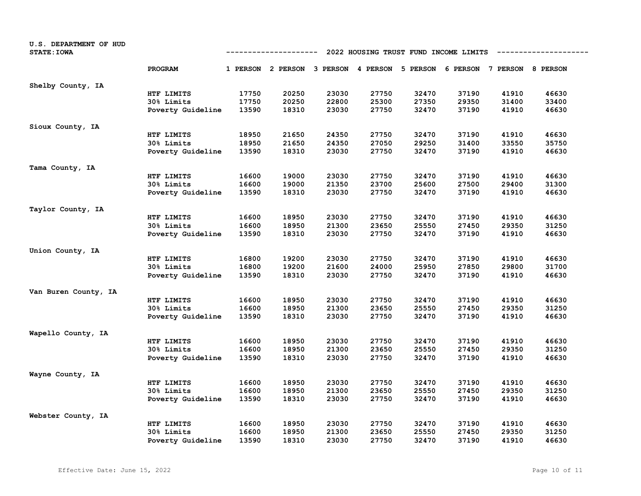| U.S. DEPARTMENT OF HUD<br><b>STATE: IOWA</b> |                   | 2022 HOUSING TRUST FUND INCOME LIMITS<br>------------ |                                     |       |       |          |       |                            |       |  |  |
|----------------------------------------------|-------------------|-------------------------------------------------------|-------------------------------------|-------|-------|----------|-------|----------------------------|-------|--|--|
|                                              | PROGRAM           |                                                       | 1 PERSON 2 PERSON 3 PERSON 4 PERSON |       |       | 5 PERSON |       | 6 PERSON 7 PERSON 8 PERSON |       |  |  |
| Shelby County, IA                            |                   |                                                       |                                     |       |       |          |       |                            |       |  |  |
|                                              | HTF LIMITS        | 17750                                                 | 20250                               | 23030 | 27750 | 32470    | 37190 | 41910                      | 46630 |  |  |
|                                              | 30% Limits        | 17750                                                 | 20250                               | 22800 | 25300 | 27350    | 29350 | 31400                      | 33400 |  |  |
|                                              | Poverty Guideline | 13590                                                 | 18310                               | 23030 | 27750 | 32470    | 37190 | 41910                      | 46630 |  |  |
| Sioux County, IA                             |                   |                                                       |                                     |       |       |          |       |                            |       |  |  |
|                                              | HTF LIMITS        | 18950                                                 | 21650                               | 24350 | 27750 | 32470    | 37190 | 41910                      | 46630 |  |  |
|                                              | 30% Limits        | 18950                                                 | 21650                               | 24350 | 27050 | 29250    | 31400 | 33550                      | 35750 |  |  |
|                                              | Poverty Guideline | 13590                                                 | 18310                               | 23030 | 27750 | 32470    | 37190 | 41910                      | 46630 |  |  |
| Tama County, IA                              |                   |                                                       |                                     |       |       |          |       |                            |       |  |  |
|                                              | HTF LIMITS        | 16600                                                 | 19000                               | 23030 | 27750 | 32470    | 37190 | 41910                      | 46630 |  |  |
|                                              | 30% Limits        | 16600                                                 | 19000                               | 21350 | 23700 | 25600    | 27500 | 29400                      | 31300 |  |  |
|                                              | Poverty Guideline | 13590                                                 | 18310                               | 23030 | 27750 | 32470    | 37190 | 41910                      | 46630 |  |  |
| Taylor County, IA                            |                   |                                                       |                                     |       |       |          |       |                            |       |  |  |
|                                              | HTF LIMITS        | 16600                                                 | 18950                               | 23030 | 27750 | 32470    | 37190 | 41910                      | 46630 |  |  |
|                                              | 30% Limits        | 16600                                                 | 18950                               | 21300 | 23650 | 25550    | 27450 | 29350                      | 31250 |  |  |
|                                              | Poverty Guideline | 13590                                                 | 18310                               | 23030 | 27750 | 32470    | 37190 | 41910                      | 46630 |  |  |
| Union County, IA                             |                   |                                                       |                                     |       |       |          |       |                            |       |  |  |
|                                              | HTF LIMITS        | 16800                                                 | 19200                               | 23030 | 27750 | 32470    | 37190 | 41910                      | 46630 |  |  |
|                                              | 30% Limits        | 16800                                                 | 19200                               | 21600 | 24000 | 25950    | 27850 | 29800                      | 31700 |  |  |
|                                              | Poverty Guideline | 13590                                                 | 18310                               | 23030 | 27750 | 32470    | 37190 | 41910                      | 46630 |  |  |
| Van Buren County, IA                         |                   |                                                       |                                     |       |       |          |       |                            |       |  |  |
|                                              | HTF LIMITS        | 16600                                                 | 18950                               | 23030 | 27750 | 32470    | 37190 | 41910                      | 46630 |  |  |
|                                              | 30% Limits        | 16600                                                 | 18950                               | 21300 | 23650 | 25550    | 27450 | 29350                      | 31250 |  |  |
|                                              | Poverty Guideline | 13590                                                 | 18310                               | 23030 | 27750 | 32470    | 37190 | 41910                      | 46630 |  |  |
| Wapello County, IA                           |                   |                                                       |                                     |       |       |          |       |                            |       |  |  |
|                                              | HTF LIMITS        | 16600                                                 | 18950                               | 23030 | 27750 | 32470    | 37190 | 41910                      | 46630 |  |  |
|                                              | 30% Limits        | 16600                                                 | 18950                               | 21300 | 23650 | 25550    | 27450 | 29350                      | 31250 |  |  |
|                                              | Poverty Guideline | 13590                                                 | 18310                               | 23030 | 27750 | 32470    | 37190 | 41910                      | 46630 |  |  |
| Wayne County, IA                             |                   |                                                       |                                     |       |       |          |       |                            |       |  |  |
|                                              | HTF LIMITS        | 16600                                                 | 18950                               | 23030 | 27750 | 32470    | 37190 | 41910                      | 46630 |  |  |
|                                              | 30% Limits        | 16600                                                 | 18950                               | 21300 | 23650 | 25550    | 27450 | 29350                      | 31250 |  |  |
|                                              | Poverty Guideline | 13590                                                 | 18310                               | 23030 | 27750 | 32470    | 37190 | 41910                      | 46630 |  |  |
| Webster County, IA                           |                   |                                                       |                                     |       |       |          |       |                            |       |  |  |
|                                              | HTF LIMITS        | 16600                                                 | 18950                               | 23030 | 27750 | 32470    | 37190 | 41910                      | 46630 |  |  |
|                                              | 30% Limits        | 16600                                                 | 18950                               | 21300 | 23650 | 25550    | 27450 | 29350                      | 31250 |  |  |
|                                              | Poverty Guideline | 13590                                                 | 18310                               | 23030 | 27750 | 32470    | 37190 | 41910                      | 46630 |  |  |